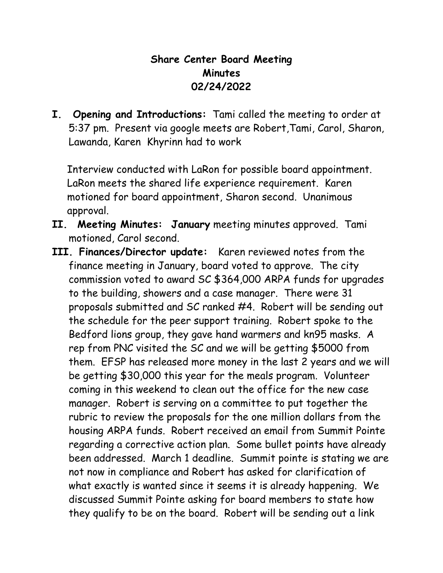## **Share Center Board Meeting Minutes 02/24/2022**

**I. Opening and Introductions:** Tami called the meeting to order at 5:37 pm. Present via google meets are Robert,Tami, Carol, Sharon, Lawanda, Karen Khyrinn had to work

 Interview conducted with LaRon for possible board appointment. LaRon meets the shared life experience requirement. Karen motioned for board appointment, Sharon second. Unanimous approval.

- **II. Meeting Minutes: January** meeting minutes approved. Tami motioned, Carol second.
- **III. Finances/Director update:** Karen reviewed notes from the finance meeting in January, board voted to approve. The city commission voted to award SC \$364,000 ARPA funds for upgrades to the building, showers and a case manager. There were 31 proposals submitted and SC ranked #4. Robert will be sending out the schedule for the peer support training. Robert spoke to the Bedford lions group, they gave hand warmers and kn95 masks. A rep from PNC visited the SC and we will be getting \$5000 from them. EFSP has released more money in the last 2 years and we will be getting \$30,000 this year for the meals program. Volunteer coming in this weekend to clean out the office for the new case manager. Robert is serving on a committee to put together the rubric to review the proposals for the one million dollars from the housing ARPA funds. Robert received an email from Summit Pointe regarding a corrective action plan. Some bullet points have already been addressed. March 1 deadline. Summit pointe is stating we are not now in compliance and Robert has asked for clarification of what exactly is wanted since it seems it is already happening. We discussed Summit Pointe asking for board members to state how they qualify to be on the board. Robert will be sending out a link